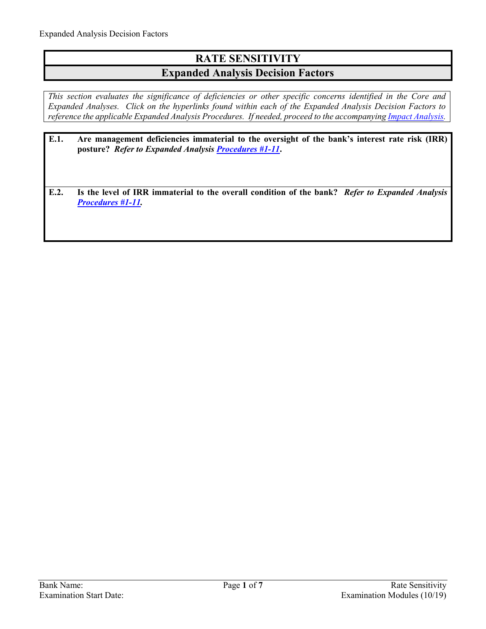## **RATE SENSITIVITY Expanded Analysis Decision Factors**

*This section evaluates the significance of deficiencies or other specific concerns identified in the Core and Expanded Analyses. Click on the hyperlinks found within each of the Expanded Analysis Decision Factors to reference the applicable Expanded Analysis Procedures. If needed, proceed to the accompanyin[g Impact Analysis.](#page-5-0)* 

- **E.1. Are management deficiencies immaterial to the oversight of the bank's interest rate risk (IRR) posture?** *Refer to Expanded Analysis [Procedures #1-11](#page-1-0)***.**
- **E.2. Is the level of IRR immaterial to the overall condition of the bank?** *Refer to Expanded Analysis [Procedures #1-11.](#page-1-0)*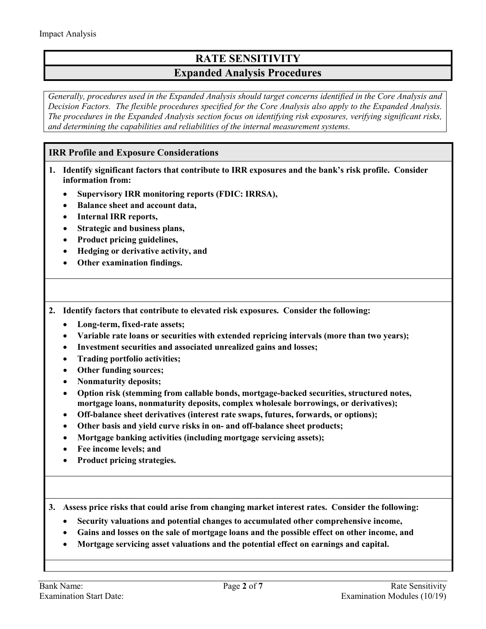# **RATE SENSITIVITY**

### **Expanded Analysis Procedures**

*Generally, procedures used in the Expanded Analysis should target concerns identified in the Core Analysis and Decision Factors. The flexible procedures specified for the Core Analysis also apply to the Expanded Analysis. The procedures in the Expanded Analysis section focus on identifying risk exposures, verifying significant risks, and determining the capabilities and reliabilities of the internal measurement systems.*

#### <span id="page-1-0"></span>**IRR Profile and Exposure Considerations**

- **1. Identify significant factors that contribute to IRR exposures and the bank's risk profile. Consider information from:**
	- **Supervisory IRR monitoring reports (FDIC: IRRSA),**
	- **Balance sheet and account data,**
	- **Internal IRR reports,**
	- **Strategic and business plans,**
	- **Product pricing guidelines,**
	- **Hedging or derivative activity, and**
	- **Other examination findings.**

#### **2. Identify factors that contribute to elevated risk exposures. Consider the following:**

- **Long-term, fixed-rate assets;**
- **Variable rate loans or securities with extended repricing intervals (more than two years);**
- **Investment securities and associated unrealized gains and losses;**
- **Trading portfolio activities;**
- **Other funding sources;**
- **Nonmaturity deposits;**
- **Option risk (stemming from callable bonds, mortgage-backed securities, structured notes, mortgage loans, nonmaturity deposits, complex wholesale borrowings, or derivatives);**
- **Off-balance sheet derivatives (interest rate swaps, futures, forwards, or options);**
- **Other basis and yield curve risks in on- and off-balance sheet products;**
- **Mortgage banking activities (including mortgage servicing assets);**
- **Fee income levels; and**
- **Product pricing strategies.**

**3. Assess price risks that could arise from changing market interest rates. Consider the following:**

- **Security valuations and potential changes to accumulated other comprehensive income,**
- **Gains and losses on the sale of mortgage loans and the possible effect on other income, and**
- **Mortgage servicing asset valuations and the potential effect on earnings and capital.**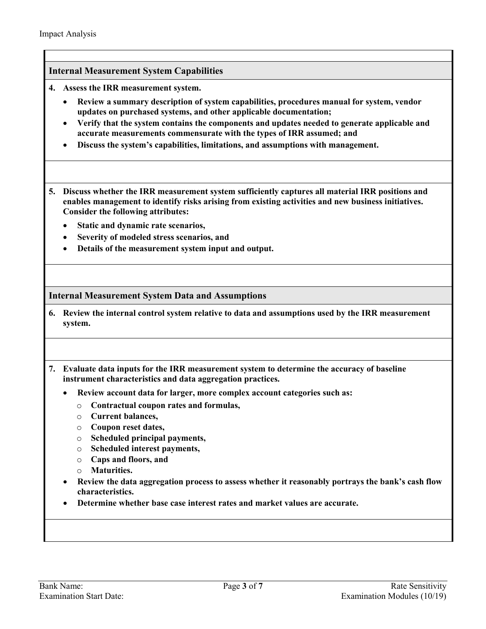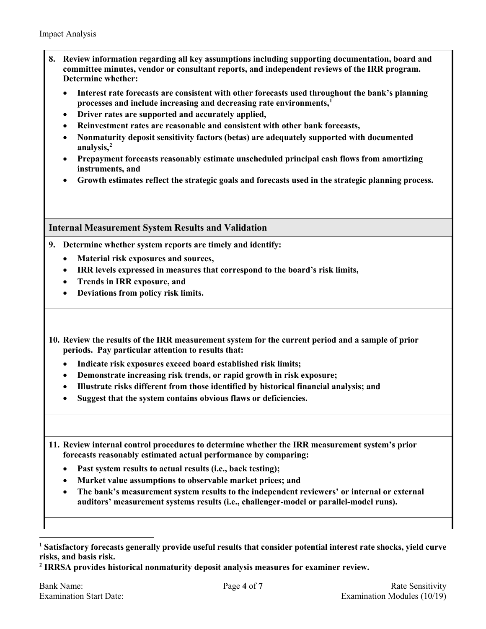- **8. Review information regarding all key assumptions including supporting documentation, board and committee minutes, vendor or consultant reports, and independent reviews of the IRR program. Determine whether:** 
	- **Interest rate forecasts are consistent with other forecasts used throughout the bank's planning processes and include increasing and decreasing rate environments, [1](#page-3-0)**
	- **Driver rates are supported and accurately applied,**
	- **Reinvestment rates are reasonable and consistent with other bank forecasts,**
	- **Nonmaturity deposit sensitivity factors (betas) are adequately supported with documented analysis,[2](#page-3-1)**
	- **Prepayment forecasts reasonably estimate unscheduled principal cash flows from amortizing instruments, and**
	- **Growth estimates reflect the strategic goals and forecasts used in the strategic planning process.**

**Internal Measurement System Results and Validation**

- **9. Determine whether system reports are timely and identify:** 
	- **Material risk exposures and sources,**
	- **IRR levels expressed in measures that correspond to the board's risk limits,**
	- **Trends in IRR exposure, and**
	- **Deviations from policy risk limits.**

**10. Review the results of the IRR measurement system for the current period and a sample of prior periods. Pay particular attention to results that:** 

- **Indicate risk exposures exceed board established risk limits;**
- **Demonstrate increasing risk trends, or rapid growth in risk exposure;**
- **Illustrate risks different from those identified by historical financial analysis; and**
- **Suggest that the system contains obvious flaws or deficiencies.**

**11. Review internal control procedures to determine whether the IRR measurement system's prior forecasts reasonably estimated actual performance by comparing:** 

- **Past system results to actual results (i.e., back testing);**
- **Market value assumptions to observable market prices; and**
- **The bank's measurement system results to the independent reviewers' or internal or external auditors' measurement systems results (i.e., challenger-model or parallel-model runs).**

<span id="page-3-1"></span>**<sup>2</sup> IRRSA provides historical nonmaturity deposit analysis measures for examiner review.**

 $\overline{a}$ 

<span id="page-3-0"></span>**<sup>1</sup> Satisfactory forecasts generally provide useful results that consider potential interest rate shocks, yield curve risks, and basis risk.**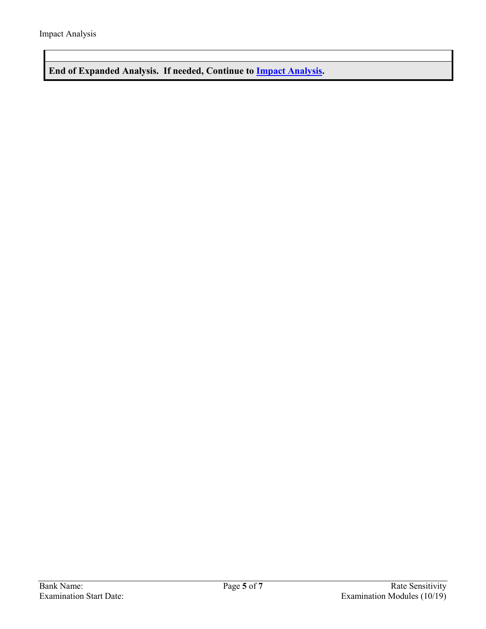**End of Expanded Analysis. If needed, Continue to [Impact Analysis.](#page-5-0)**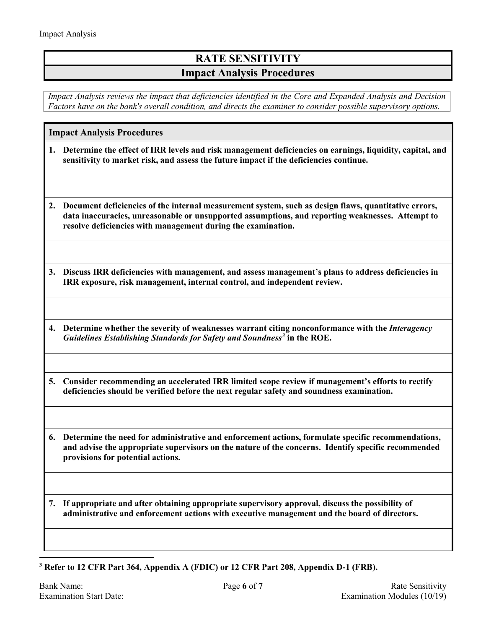## **RATE SENSITIVITY Impact Analysis Procedures**

*Impact Analysis reviews the impact that deficiencies identified in the Core and Expanded Analysis and Decision Factors have on the bank's overall condition, and directs the examiner to consider possible supervisory options.*

<span id="page-5-0"></span>**Impact Analysis Procedures**

**1. Determine the effect of IRR levels and risk management deficiencies on earnings, liquidity, capital, and sensitivity to market risk, and assess the future impact if the deficiencies continue.**

**2. Document deficiencies of the internal measurement system, such as design flaws, quantitative errors, data inaccuracies, unreasonable or unsupported assumptions, and reporting weaknesses. Attempt to resolve deficiencies with management during the examination.**

**3. Discuss IRR deficiencies with management, and assess management's plans to address deficiencies in IRR exposure, risk management, internal control, and independent review.**

**4. Determine whether the severity of weaknesses warrant citing nonconformance with the** *Interagency Guidelines Establishing Standards for Safety and Soundness[3](#page-5-1)* **in the ROE.**

**5. Consider recommending an accelerated IRR limited scope review if management's efforts to rectify deficiencies should be verified before the next regular safety and soundness examination.**

**6. Determine the need for administrative and enforcement actions, formulate specific recommendations, and advise the appropriate supervisors on the nature of the concerns. Identify specific recommended provisions for potential actions.** 

**7. If appropriate and after obtaining appropriate supervisory approval, discuss the possibility of administrative and enforcement actions with executive management and the board of directors.**

<span id="page-5-1"></span> $\overline{a}$ **<sup>3</sup> Refer to 12 CFR Part 364, Appendix A (FDIC) or 12 CFR Part 208, Appendix D-1 (FRB).**